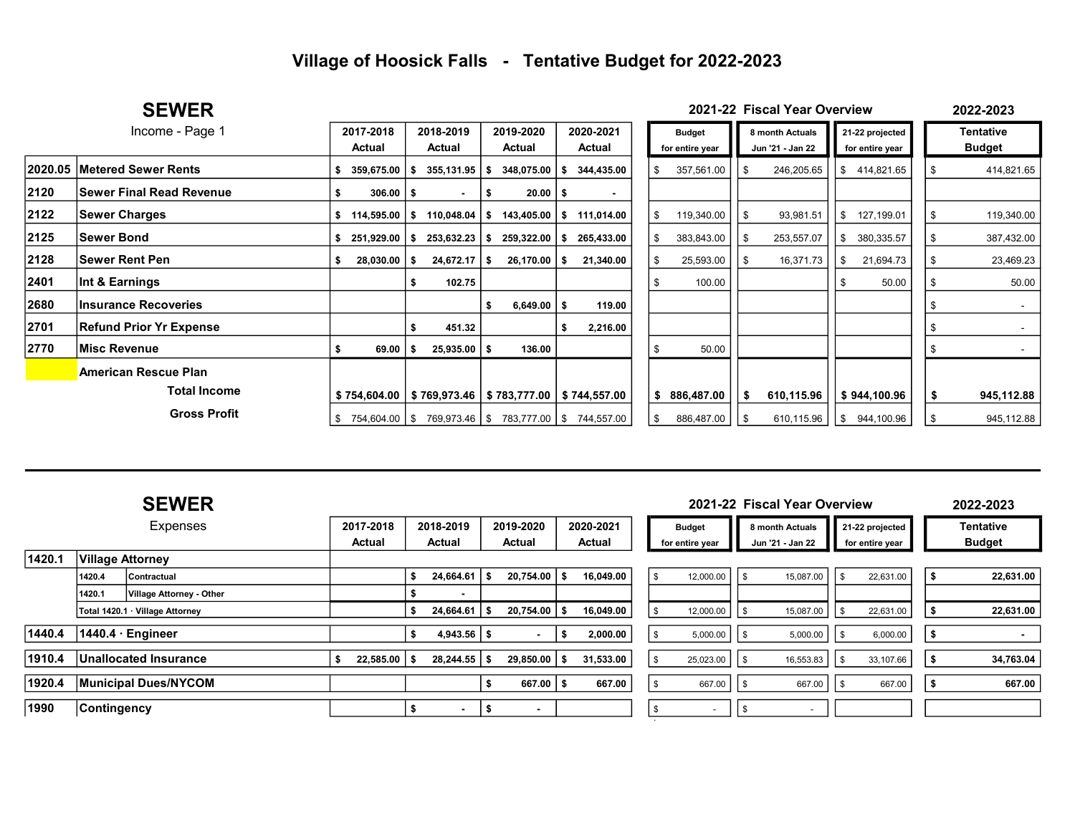|                 | <b>SEWER</b>                    |                         |                     |                                  |                                                            |                                  |                  |                                     | 2021-22 Fiscal Year Overview |                                    | 2022-2023    |                            |
|-----------------|---------------------------------|-------------------------|---------------------|----------------------------------|------------------------------------------------------------|----------------------------------|------------------|-------------------------------------|------------------------------|------------------------------------|--------------|----------------------------|
| Income - Page 1 |                                 | 2017-2018<br>Actual     | 2018-2019<br>Actual | 2019-2020<br>Actual              | 2020-2021<br>Actual                                        | <b>Budget</b><br>for entire year |                  | 8 month Actuals<br>Jun '21 - Jan 22 |                              | 21-22 projected<br>for entire year |              | Tentative<br><b>Budget</b> |
|                 | 2020.05 Metered Sewer Rents     | $359,675.00$ $\sqrt{5}$ | 355,131.95          | $348,075.00$ $\frac{1}{5}$<br>s. | 344,435.00                                                 |                                  | 357,561.00       |                                     | 246,205.65                   | S.                                 | 414,821.65   | 414,821.65                 |
| 2120            | <b>Sewer Final Read Revenue</b> | $306.00$   \$           | $\blacksquare$      | $20.00$   \$                     |                                                            |                                  |                  |                                     |                              |                                    |              |                            |
| 2122            | <b>Sewer Charges</b>            | $$114,595.00$ $$$       | 110,048.04          | 143,405.00 \$<br>s               | 111,014.00                                                 |                                  | 119,340.00<br>\$ | - 56                                | 93,981.51                    | \$                                 | 127,199.01   | 119,340.00                 |
| 2125            | <b>Sewer Bond</b>               | $251,929.00$   \$       | 253,632.23          | $259,322.00$ \ \$<br>s.          | 265,433.00                                                 |                                  | 383,843.00<br>\$ |                                     | 253,557.07                   | \$                                 | 380,335.57   | 387,432.00                 |
| 2128            | Sewer Rent Pen                  | $28,030.00$   \$        | 24,672.17           | $26,170.00$   \$                 | 21,340.00                                                  |                                  | 25,593.00<br>\$  |                                     | 16,371.73                    | - \$                               | 21,694.73    | 23,469.23                  |
| 2401            | Int & Earnings                  |                         | 102.75              |                                  |                                                            |                                  | 100.00           |                                     |                              |                                    | 50.00        | 50.00                      |
| 2680            | Insurance Recoveries            |                         |                     | $6,649.00$   \$                  | 119.00                                                     |                                  |                  |                                     |                              |                                    |              |                            |
| 2701            | Refund Prior Yr Expense         |                         | 451.32              |                                  | 2,216.00                                                   |                                  |                  |                                     |                              |                                    |              |                            |
| 2770            | Misc Revenue                    | $69.00$   \$            | $25,935.00$   \$    | 136.00                           |                                                            |                                  | 50.00            |                                     |                              |                                    |              |                            |
|                 | <b>American Rescue Plan</b>     |                         |                     |                                  |                                                            |                                  |                  |                                     |                              |                                    |              |                            |
|                 | Total Income                    |                         |                     |                                  | $$754,604.00$   \$769,973.46   \$783,777.00   \$744,557.00 |                                  | 886,487.00<br>S. |                                     | 610,115.96                   |                                    | \$944,100.96 | 945,112.88                 |
|                 | <b>Gross Profit</b>             |                         |                     |                                  | 754,604.00   \$769,973.46   \$783,777.00   \$744,557.00    |                                  | \$<br>886,487.00 | IS.                                 | 610,115.96                   |                                    | \$944,100.96 | 945,112.88                 |

## $S = \frac{1}{2}$

SEWER

2021-22 Fiscal Year Overview

2022-2023

| Expenses |                         | 2017-2018<br>2018-2019          |  | 2019-2020        |                          | 2020-2021 |                | <b>Budget</b> |           | 8 month Actuals |                 | 21-22 projected |                          | <b>Tentative</b> |                 |               |
|----------|-------------------------|---------------------------------|--|------------------|--------------------------|-----------|----------------|---------------|-----------|-----------------|-----------------|-----------------|--------------------------|------------------|-----------------|---------------|
|          |                         |                                 |  | Actual           | Actual                   |           | <b>Actual</b>  |               | Actual    |                 | for entire year |                 | Jun '21 - Jan 22         |                  | for entire year | <b>Budget</b> |
| 1420.1   | <b>Village Attorney</b> |                                 |  |                  |                          |           |                |               |           |                 |                 |                 |                          |                  |                 |               |
|          | 1420.4                  | <b>Contractual</b>              |  |                  | 24.664.61                |           | $20.754.00$ S  |               | 16.049.00 |                 | 12,000.00       |                 | 15,087.00                |                  | 22,631.00       | 22,631.00     |
|          | 1420.1                  | Village Attorney - Other        |  |                  | $\overline{\phantom{a}}$ |           |                |               |           |                 |                 |                 |                          |                  |                 |               |
|          |                         | Total 1420.1 · Village Attorney |  |                  | $24,664.61$ \ \$         |           | $20,754.00$ \$ |               | 16,049.00 |                 | 12,000.00       |                 | 15,087.00                |                  | 22,631.00       | 22,631.00     |
| 1440.4   |                         | $1440.4 \cdot$ Engineer         |  |                  | $4,943.56$ \ \$          |           |                | х             | 2,000.00  |                 | 5,000.00        |                 | 5,000.00                 |                  | 6,000.00        |               |
| 1910.4   |                         | Unallocated Insurance           |  | $22,585.00$   \$ | $28,244.55$ $\sqrt{5}$   |           | $29,850.00$ \$ |               | 31,533.00 |                 | 25,023.00       |                 | 16,553.83                |                  | 33,107.66       | 34,763.04     |
| 1920.4   |                         | <b>Municipal Dues/NYCOM</b>     |  |                  |                          |           | $667.00$ \$    |               | 667.00    |                 | 667.00          |                 | 667.00                   |                  | 667.00          | 667.00        |
| 1990     | Contingency             |                                 |  |                  | $\sim$                   |           | . .            |               |           |                 |                 |                 | $\overline{\phantom{a}}$ |                  |                 |               |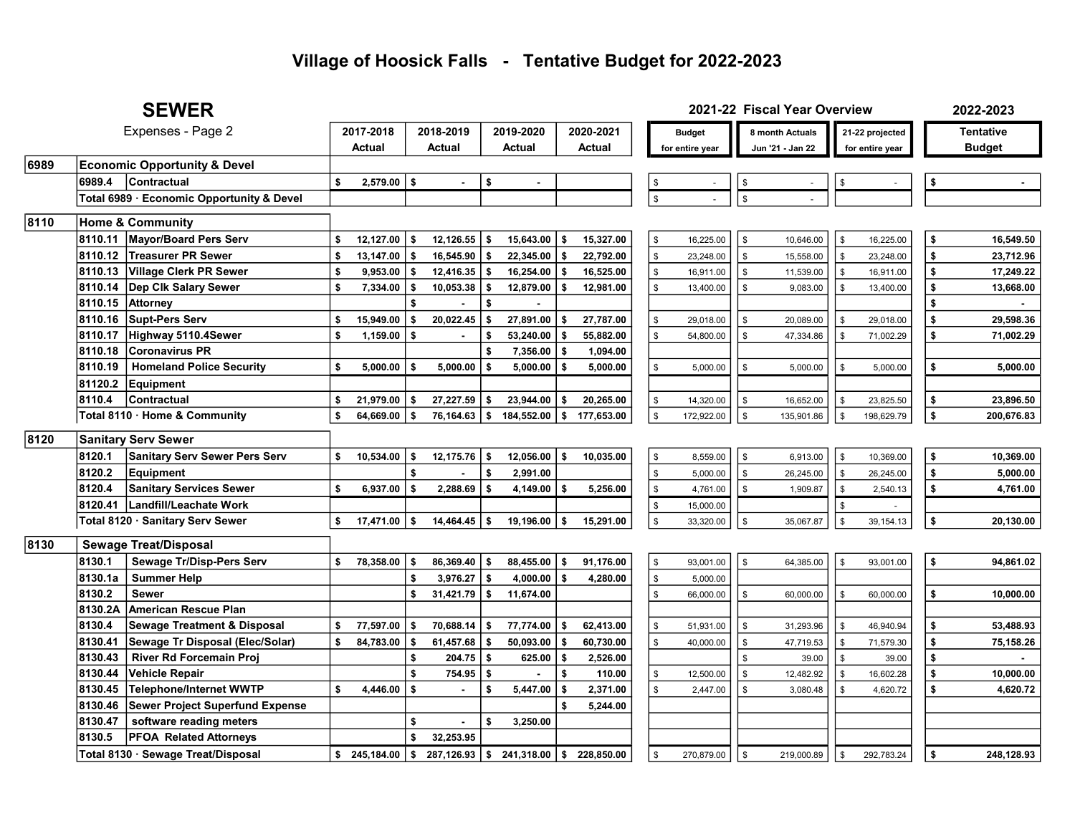## Village of Hoosick Falls - Tentative Budget for 2022-2023

|      | <b>SEWER</b>                                     |                        |                          |                               |                            |                      |                 | 2021-22 Fiscal Year Overview |                   | 2022-2023        |
|------|--------------------------------------------------|------------------------|--------------------------|-------------------------------|----------------------------|----------------------|-----------------|------------------------------|-------------------|------------------|
|      | Expenses - Page 2                                | 2017-2018              | 2018-2019                | 2019-2020                     | 2020-2021                  |                      | <b>Budget</b>   | 8 month Actuals              | 21-22 projected   | Tentative        |
|      |                                                  | Actual                 | Actual                   | Actual                        | Actual                     |                      | for entire year | Jun '21 - Jan 22             | for entire year   | <b>Budget</b>    |
| 6989 | <b>Economic Opportunity &amp; Devel</b>          |                        |                          |                               |                            |                      |                 |                              |                   |                  |
|      | Contractual<br>6989.4                            | $2,579.00$ \\$<br>s.   |                          | \$                            |                            | \$                   |                 | \$                           | \$                | \$               |
|      | Total 6989 · Economic Opportunity & Devel        |                        |                          |                               |                            | $\,$                 |                 |                              |                   |                  |
| 8110 | <b>Home &amp; Community</b>                      |                        |                          |                               |                            |                      |                 |                              |                   |                  |
|      | 8110.11   Mayor/Board Pers Serv                  | $12,127.00$ \ \$<br>\$ | $12,126.55$ \ \$         | $15,643.00$ \ \$              | 15,327.00                  | \$                   | 16,225.00       | 10,646.00<br>\$              | \$<br>16,225.00   | 16,549.50<br>\$  |
|      | 8110.12 Treasurer PR Sewer                       | $13,147.00$ \ \$<br>\$ | 16,545.90                | 22,345.00                     | ۱s<br>22,792.00            |                      | 23,248.00       | 15,558.00<br>\$              | \$<br>23,248.00   | \$<br>23,712.96  |
|      | Village Clerk PR Sewer<br>8110.13                | \$<br>$9,953.00$   \$  | 12,416.35                | $16,254.00$ \$<br>l \$        | 16,525.00                  | $\mathbb{S}$<br>$\,$ | 16,911.00       | \$<br>11,539.00              | \$<br>16,911.00   | \$<br>17,249.22  |
|      | 8110.14   Dep Clk Salary Sewer                   | \$<br>$7,334.00$ \\$   | 10,053.38                | \$<br>12,879.00               | \$<br>12,981.00            | \$                   | 13,400.00       | \$<br>9,083.00               | 13,400.00<br>\$   | \$<br>13,668.00  |
|      | 8110.15<br><b>Attorney</b>                       |                        | \$                       | \$                            |                            |                      |                 |                              |                   | \$               |
|      | 8110.16<br>Supt-Pers Serv                        | 15,949.00<br>\$        | 20,022.45<br>- \$        | 27,891.00<br>\$               | -\$<br>27,787.00           | \$                   | 29,018.00       | 20,089.00                    | 29,018.00<br>\$   | \$<br>29,598.36  |
|      | 8110.17<br>Highway 5110.4Sewer                   | $1,159.00$   \$<br>\$  |                          | 53,240.00<br>\$               | S.<br>55,882.00            | \$                   | 54,800.00       | 47,334.86<br>\$              | \$<br>71,002.29   | \$<br>71,002.29  |
|      | <b>Coronavirus PR</b><br>8110.18                 |                        |                          | 7,356.00<br>\$                | l \$<br>1,094.00           |                      |                 |                              |                   |                  |
|      | 8110.19<br><b>Homeland Police Security</b>       | $5,000.00$   \$<br>\$  | 5,000.00                 | $5,000.00$ \ \$<br>S.         | 5,000.00                   | \$                   | 5,000.00        | \$<br>5,000.00               | \$<br>5,000.00    | \$<br>5,000.00   |
|      | 81120.2 Equipment                                |                        |                          |                               |                            |                      |                 |                              |                   |                  |
|      | 8110.4<br><b>Contractual</b>                     | 21,979.00<br>\$        | 27,227.59<br>- \$        | 23,944.00<br>\$               | 20,265.00<br>\$            | \$                   | 14,320.00       | 16,652.00                    | 23,825.50<br>\$   | 23,896.50<br>\$  |
|      | Total 8110 · Home & Community                    | \$<br>64,669.00        | $76,164.63$   \$<br>l \$ | 184,552.00                    | $\mathsf{S}$<br>177,653.00 | $\mathfrak s$        | 172,922.00      | 135,901.86<br>\$             | 198,629.79<br>\$  | \$<br>200,676.83 |
|      |                                                  |                        |                          |                               |                            |                      |                 |                              |                   |                  |
| 8120 | <b>Sanitary Serv Sewer</b>                       |                        |                          |                               |                            |                      |                 |                              |                   |                  |
|      | 8120.1<br><b>Sanitary Serv Sewer Pers Serv</b>   | 10,534.00<br>\$        | 12,175.76<br>l \$        | 12,056.00<br>l S              | l s<br>10,035.00           | \$                   | 8,559.00        | \$<br>6,913.00               | \$<br>10,369.00   | 10,369.00<br>\$  |
|      | 8120.2<br><b>Equipment</b>                       |                        | \$                       | \$<br>2,991.00                |                            | \$                   | 5,000.00        | \$<br>26,245.00              | \$<br>26,245.00   | \$<br>5,000.00   |
|      | 8120.4<br><b>Sanitary Services Sewer</b>         | 6,937.00<br>\$         | 2,288.69<br>- \$         | $4,149.00$ \ \$<br>\$         | 5,256.00                   | \$                   | 4,761.00        | 1,909.87                     | 2,540.13          | \$<br>4,761.00   |
|      | 8120.41<br>Landfill/Leachate Work                |                        |                          |                               |                            | $\,$                 | 15,000.00       |                              | \$                |                  |
|      | Total 8120 · Sanitary Serv Sewer                 | \$<br>$17,471.00$ \ \$ | $14,464.45$ \ \$         | $19,196.00$ \ \$              | 15,291.00                  | \$                   | 33,320.00       | \$<br>35,067.87              | \$<br>39, 154. 13 | \$<br>20,130.00  |
| 8130 | <b>Sewage Treat/Disposal</b>                     |                        |                          |                               |                            |                      |                 |                              |                   |                  |
|      | 8130.1<br>Sewage Tr/Disp-Pers Serv               | $78,358.00$ \ \$<br>\$ | $86,369.40$ \ \$         | $88,455.00$ \ \$              | 91,176.00                  | \$                   | 93,001.00       | 64,385.00<br>\$              | \$<br>93,001.00   | \$<br>94,861.02  |
|      | 8130.1a<br><b>Summer Help</b>                    |                        | \$<br>3,976.27           | \$<br>4,000.00 $\frac{1}{2}$  | 4,280.00                   | $\,$                 | 5,000.00        |                              |                   |                  |
|      | 8130.2<br><b>Sewer</b>                           |                        | 31,421.79<br>\$          | 11,674.00<br>S.               |                            | \$                   | 66,000.00       | 60,000.00                    | \$<br>60,000.00   | \$<br>10.000.00  |
|      | 8130.2A<br><b>American Rescue Plan</b>           |                        |                          |                               |                            |                      |                 |                              |                   |                  |
|      | 8130.4<br><b>Sewage Treatment &amp; Disposal</b> | 77,597.00<br>\$        | 70,688.14<br>l s         | 77,774.00<br>\$               | 62,413.00<br>-\$           | \$                   | 51,931.00       | 31,293.96<br>\$              | \$<br>46,940.94   | \$<br>53,488.93  |
|      | Sewage Tr Disposal (Elec/Solar)<br>8130.41       | 84,783.00<br>\$        | 61,457.68<br>l \$        | -S<br>50,093.00               | l \$<br>60,730.00          | \$                   | 40,000.00       | 47,719.53<br>\$              | \$<br>71,579.30   | \$<br>75,158.26  |
|      | River Rd Forcemain Proj<br>8130.43               |                        | $204.75$ \$<br>\$        | $625.00$ \$                   | 2,526.00                   |                      |                 | 39.00                        | \$<br>39.00       | \$               |
|      | 8130.44<br><b>Vehicle Repair</b>                 |                        | 754.95                   | S.                            | \$<br>110.00               | \$                   | 12,500.00       | 12,482.92                    | 16,602.28         | \$<br>10,000.00  |
|      | 8130.45<br>Telephone/Internet WWTP               | s.<br>4,446.00         | -S<br>$\mathbf{r}$       | \$<br>5,447.00                | - \$<br>2,371.00           | \$                   | 2,447.00        | 3,080.48                     | \$<br>4,620.72    | \$<br>4,620.72   |
|      | 8130.46<br>Sewer Project Superfund Expense       |                        |                          |                               | \$<br>5,244.00             |                      |                 |                              |                   |                  |
|      | 8130.47<br>software reading meters               |                        | \$                       | 3,250.00<br>Ŝ.                |                            |                      |                 |                              |                   |                  |
|      | 8130.5<br><b>PFOA Related Attorneys</b>          |                        | 32,253.95<br>\$          |                               |                            |                      |                 |                              |                   |                  |
|      | Total 8130 · Sewage Treat/Disposal               | 245,184.00<br>\$       | l Si                     | $287,126.93$ \$ 241,318.00 \$ | 228.850.00                 | \$                   | 270,879.00      | 219,000.89<br>\$             | 292,783.24<br>\$  | 248,128.93<br>\$ |